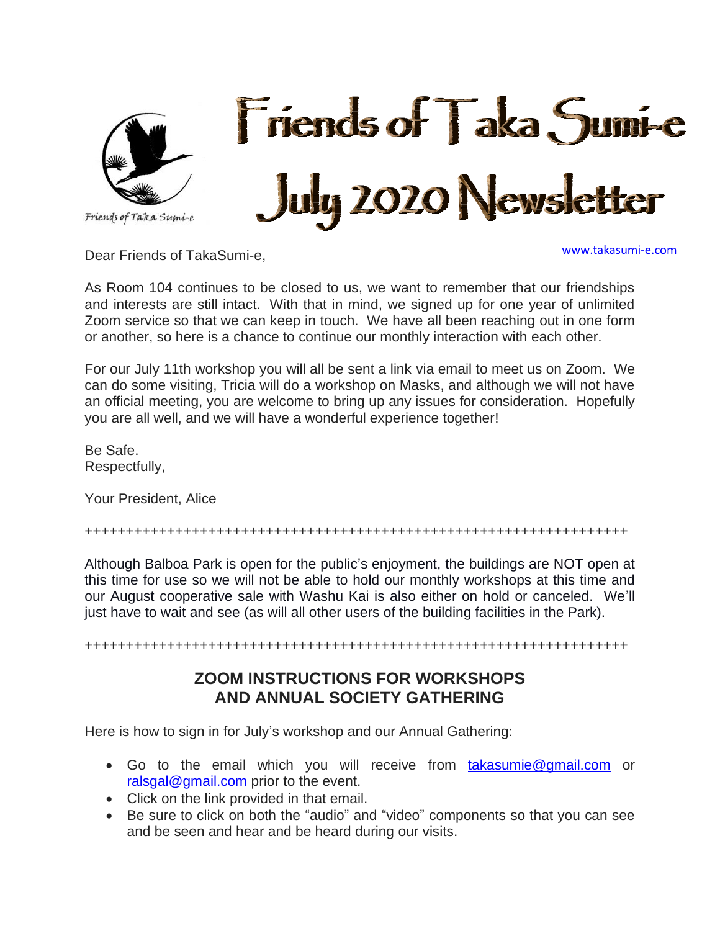



Dear Friends of TakaSumi-e,

[www.takasumi-e.com](http://www.takasumi-e.com/)

As Room 104 continues to be closed to us, we want to remember that our friendships and interests are still intact. With that in mind, we signed up for one year of unlimited Zoom service so that we can keep in touch. We have all been reaching out in one form or another, so here is a chance to continue our monthly interaction with each other.

For our July 11th workshop you will all be sent a link via email to meet us on Zoom. We can do some visiting, Tricia will do a workshop on Masks, and although we will not have an official meeting, you are welcome to bring up any issues for consideration. Hopefully you are all well, and we will have a wonderful experience together!

Be Safe. Respectfully,

Your President, Alice

++++++++++++++++++++++++++++++++++++++++++++++++++++++++++++++++++

Although Balboa Park is open for the public's enjoyment, the buildings are NOT open at this time for use so we will not be able to hold our monthly workshops at this time and our August cooperative sale with Washu Kai is also either on hold or canceled. We'll just have to wait and see (as will all other users of the building facilities in the Park).

++++++++++++++++++++++++++++++++++++++++++++++++++++++++++++++++++

## **ZOOM INSTRUCTIONS FOR WORKSHOPS AND ANNUAL SOCIETY GATHERING**

Here is how to sign in for July's workshop and our Annual Gathering:

- Go to the email which you will receive from [takasumie@gmail.com](mailto:takasumie@gmail.com) or [ralsgal@gmail.com](mailto:ralsgal@gmail.com) prior to the event.
- Click on the link provided in that email.
- Be sure to click on both the "audio" and "video" components so that you can see and be seen and hear and be heard during our visits.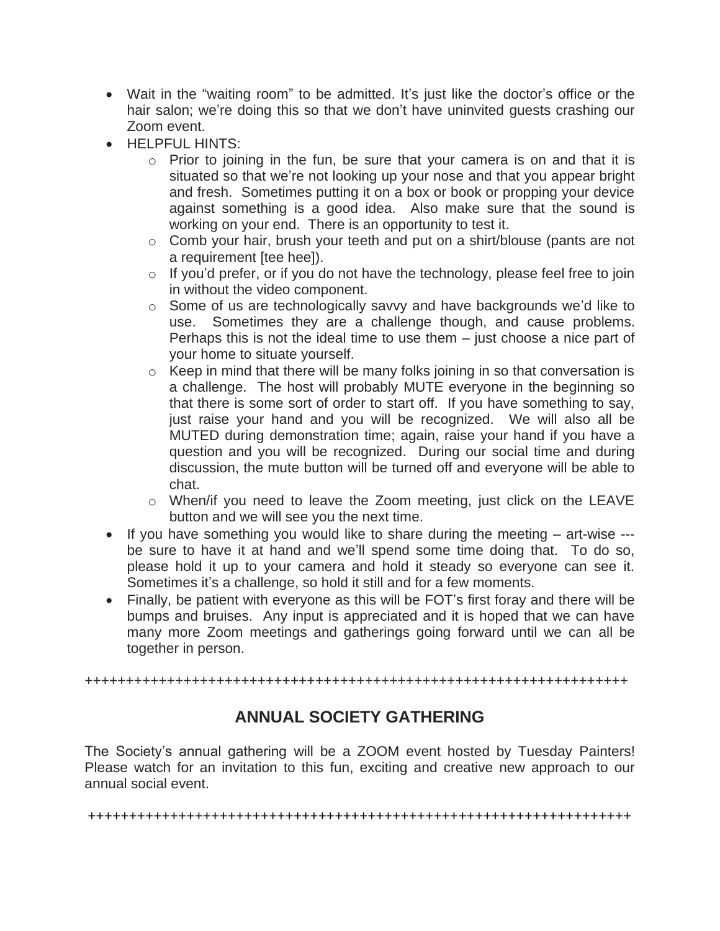- Wait in the "waiting room" to be admitted. It's just like the doctor's office or the hair salon; we're doing this so that we don't have uninvited guests crashing our Zoom event.
- HELPEUL HINTS:
	- $\circ$  Prior to joining in the fun, be sure that your camera is on and that it is situated so that we're not looking up your nose and that you appear bright and fresh. Sometimes putting it on a box or book or propping your device against something is a good idea. Also make sure that the sound is working on your end. There is an opportunity to test it.
	- o Comb your hair, brush your teeth and put on a shirt/blouse (pants are not a requirement [tee hee]).
	- $\circ$  If you'd prefer, or if you do not have the technology, please feel free to join in without the video component.
	- o Some of us are technologically savvy and have backgrounds we'd like to use. Sometimes they are a challenge though, and cause problems. Perhaps this is not the ideal time to use them – just choose a nice part of your home to situate yourself.
	- o Keep in mind that there will be many folks joining in so that conversation is a challenge. The host will probably MUTE everyone in the beginning so that there is some sort of order to start off. If you have something to say, just raise your hand and you will be recognized. We will also all be MUTED during demonstration time; again, raise your hand if you have a question and you will be recognized. During our social time and during discussion, the mute button will be turned off and everyone will be able to chat.
	- o When/if you need to leave the Zoom meeting, just click on the LEAVE button and we will see you the next time.
- If you have something you would like to share during the meeting art-wise -- be sure to have it at hand and we'll spend some time doing that. To do so, please hold it up to your camera and hold it steady so everyone can see it. Sometimes it's a challenge, so hold it still and for a few moments.
- Finally, be patient with everyone as this will be FOT's first foray and there will be bumps and bruises. Any input is appreciated and it is hoped that we can have many more Zoom meetings and gatherings going forward until we can all be together in person.

#### ++++++++++++++++++++++++++++++++++++++++++++++++++++++++++++++++++

# **ANNUAL SOCIETY GATHERING**

The Society's annual gathering will be a ZOOM event hosted by Tuesday Painters! Please watch for an invitation to this fun, exciting and creative new approach to our annual social event.

++++++++++++++++++++++++++++++++++++++++++++++++++++++++++++++++++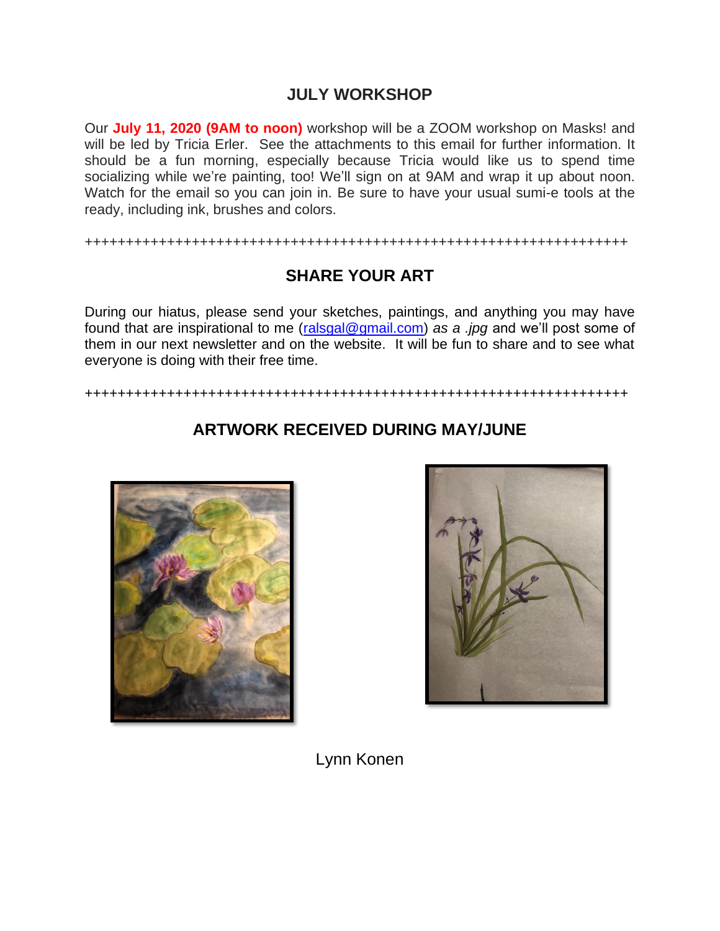### **JULY WORKSHOP**

Our **July 11, 2020 (9AM to noon)** workshop will be a ZOOM workshop on Masks! and will be led by Tricia Erler. See the attachments to this email for further information. It should be a fun morning, especially because Tricia would like us to spend time socializing while we're painting, too! We'll sign on at 9AM and wrap it up about noon. Watch for the email so you can join in. Be sure to have your usual sumi-e tools at the ready, including ink, brushes and colors.

++++++++++++++++++++++++++++++++++++++++++++++++++++++++++++++++++

# **SHARE YOUR ART**

During our hiatus, please send your sketches, paintings, and anything you may have found that are inspirational to me [\(ralsgal@gmail.com\)](mailto:ralsgal@gmail.com) *as a .jpg* and we'll post some of them in our next newsletter and on the website. It will be fun to share and to see what everyone is doing with their free time.

++++++++++++++++++++++++++++++++++++++++++++++++++++++++++++++++++



## **ARTWORK RECEIVED DURING MAY/JUNE**



Lynn Konen